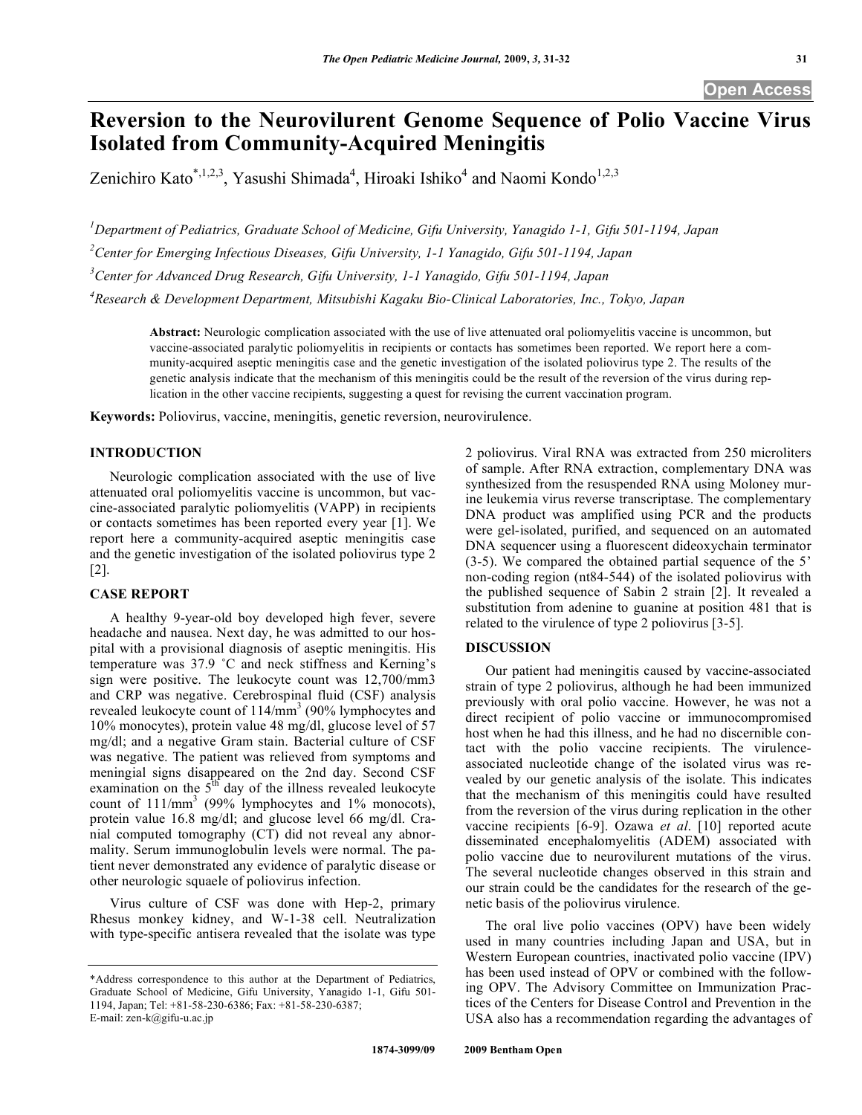# **Reversion to the Neurovilurent Genome Sequence of Polio Vaccine Virus Isolated from Community-Acquired Meningitis**

Zenichiro Kato<sup>\*,1,2,3</sup>, Yasushi Shimada<sup>4</sup>, Hiroaki Ishiko<sup>4</sup> and Naomi Kondo<sup>1,2,3</sup>

*1 Department of Pediatrics, Graduate School of Medicine, Gifu University, Yanagido 1-1, Gifu 501-1194, Japan 2 Center for Emerging Infectious Diseases, Gifu University, 1-1 Yanagido, Gifu 501-1194, Japan 3 Center for Advanced Drug Research, Gifu University, 1-1 Yanagido, Gifu 501-1194, Japan* 

*4 Research & Development Department, Mitsubishi Kagaku Bio-Clinical Laboratories, Inc., Tokyo, Japan* 

**Abstract:** Neurologic complication associated with the use of live attenuated oral poliomyelitis vaccine is uncommon, but vaccine-associated paralytic poliomyelitis in recipients or contacts has sometimes been reported. We report here a community-acquired aseptic meningitis case and the genetic investigation of the isolated poliovirus type 2. The results of the genetic analysis indicate that the mechanism of this meningitis could be the result of the reversion of the virus during replication in the other vaccine recipients, suggesting a quest for revising the current vaccination program.

**Keywords:** Poliovirus, vaccine, meningitis, genetic reversion, neurovirulence.

# **INTRODUCTION**

 Neurologic complication associated with the use of live attenuated oral poliomyelitis vaccine is uncommon, but vaccine-associated paralytic poliomyelitis (VAPP) in recipients or contacts sometimes has been reported every year [1]. We report here a community-acquired aseptic meningitis case and the genetic investigation of the isolated poliovirus type 2 [2].

### **CASE REPORT**

 A healthy 9-year-old boy developed high fever, severe headache and nausea. Next day, he was admitted to our hospital with a provisional diagnosis of aseptic meningitis. His temperature was 37.9 ˚C and neck stiffness and Kerning's sign were positive. The leukocyte count was 12,700/mm3 and CRP was negative. Cerebrospinal fluid (CSF) analysis revealed leukocyte count of 114/mm<sup>3</sup> (90% lymphocytes and 10% monocytes), protein value 48 mg/dl, glucose level of 57 mg/dl; and a negative Gram stain. Bacterial culture of CSF was negative. The patient was relieved from symptoms and meningial signs disappeared on the 2nd day. Second CSF examination on the  $5<sup>th</sup>$  day of the illness revealed leukocyte count of  $111/mm^3$  (99% lymphocytes and 1% monocots), protein value 16.8 mg/dl; and glucose level 66 mg/dl. Cranial computed tomography (CT) did not reveal any abnormality. Serum immunoglobulin levels were normal. The patient never demonstrated any evidence of paralytic disease or other neurologic squaele of poliovirus infection.

 Virus culture of CSF was done with Hep-2, primary Rhesus monkey kidney, and W-1-38 cell. Neutralization with type-specific antisera revealed that the isolate was type

2 poliovirus. Viral RNA was extracted from 250 microliters of sample. After RNA extraction, complementary DNA was synthesized from the resuspended RNA using Moloney murine leukemia virus reverse transcriptase. The complementary DNA product was amplified using PCR and the products were gel-isolated, purified, and sequenced on an automated DNA sequencer using a fluorescent dideoxychain terminator (3-5). We compared the obtained partial sequence of the 5' non-coding region (nt84-544) of the isolated poliovirus with the published sequence of Sabin 2 strain [2]. It revealed a substitution from adenine to guanine at position 481 that is related to the virulence of type 2 poliovirus [3-5].

# **DISCUSSION**

 Our patient had meningitis caused by vaccine-associated strain of type 2 poliovirus, although he had been immunized previously with oral polio vaccine. However, he was not a direct recipient of polio vaccine or immunocompromised host when he had this illness, and he had no discernible contact with the polio vaccine recipients. The virulenceassociated nucleotide change of the isolated virus was revealed by our genetic analysis of the isolate. This indicates that the mechanism of this meningitis could have resulted from the reversion of the virus during replication in the other vaccine recipients [6-9]. Ozawa *et al*. [10] reported acute disseminated encephalomyelitis (ADEM) associated with polio vaccine due to neurovilurent mutations of the virus. The several nucleotide changes observed in this strain and our strain could be the candidates for the research of the genetic basis of the poliovirus virulence.

 The oral live polio vaccines (OPV) have been widely used in many countries including Japan and USA, but in Western European countries, inactivated polio vaccine (IPV) has been used instead of OPV or combined with the following OPV. The Advisory Committee on Immunization Practices of the Centers for Disease Control and Prevention in the USA also has a recommendation regarding the advantages of

<sup>\*</sup>Address correspondence to this author at the Department of Pediatrics, Graduate School of Medicine, Gifu University, Yanagido 1-1, Gifu 501- 1194, Japan; Tel: +81-58-230-6386; Fax: +81-58-230-6387; E-mail: zen-k@gifu-u.ac.jp